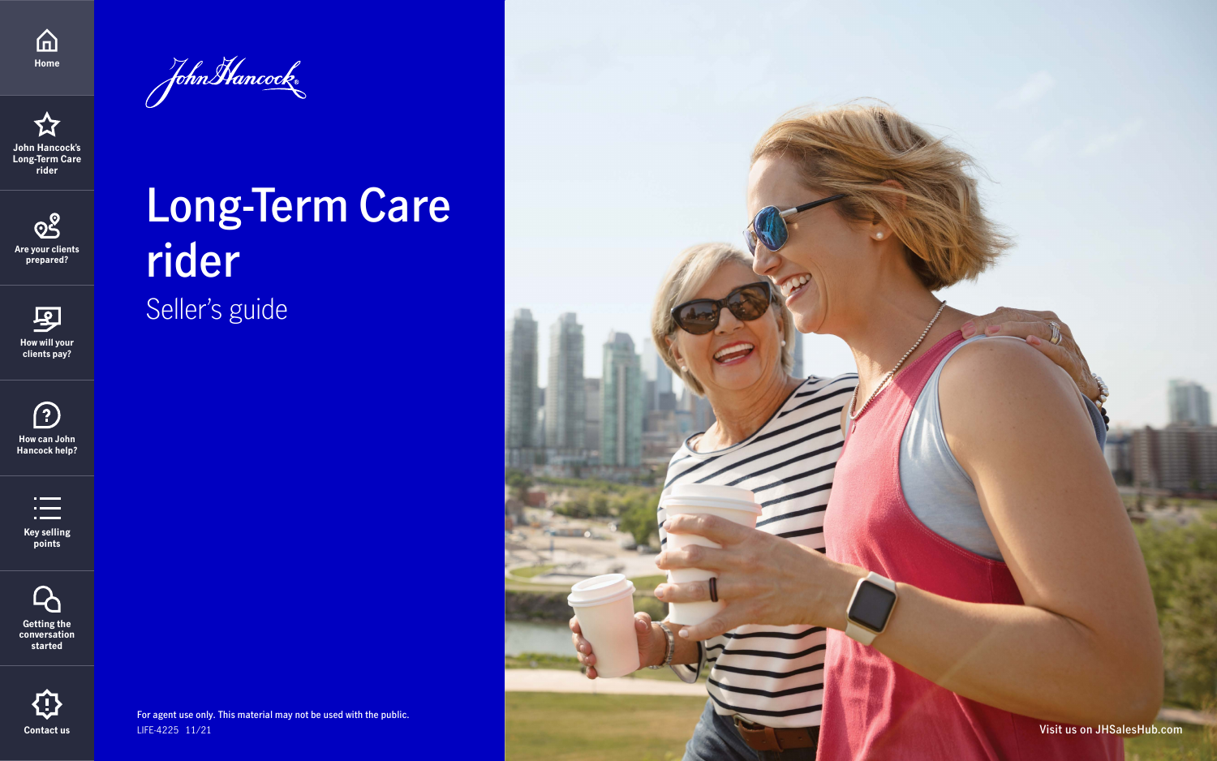**For agent use only. This material may not be used with the public.** LIFE-4225 11/21

Seller's guide

# **Long-Term Care rider**

<span id="page-0-0"></span>



**[Key selling](#page-5-0)  points**



**prepared?**



**[How will your](#page-3-0)  clients pay?**







①



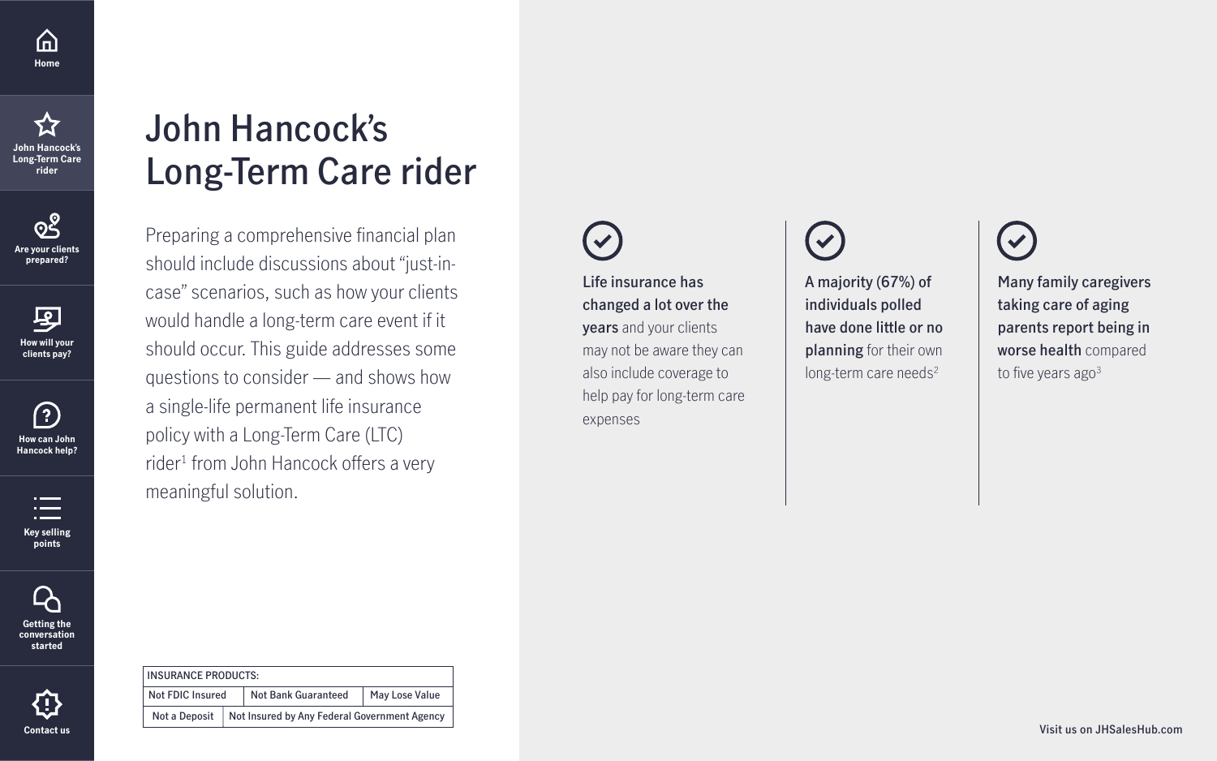### **John Hancock's Long-Term Care rider**

Preparing a comprehensive financial plan should include discussions about "just-incase" scenarios, such as how your clients would handle a long-term care event if it should occur. This guide addresses some questions to consider — and shows how a single-life permanent life insurance policy with a Long-Term Care (LTC) rider<sup>1</sup> from John Hancock offers a very meaningful solution.

**A majority (67%) of individuals polled have done little or no planning** for their own long-term care needs $2$ 



**Many family caregivers taking care of aging parents report being in worse health** compared to five years  $ago<sup>3</sup>$ 

| <b>INSURANCE PRODUCTS:</b> |                                                              |                            |                |  |
|----------------------------|--------------------------------------------------------------|----------------------------|----------------|--|
| <b>Not FDIC Insured</b>    |                                                              | <b>Not Bank Guaranteed</b> | May Lose Value |  |
|                            | Not a Deposit   Not Insured by Any Federal Government Agency |                            |                |  |

**Life insurance has changed a lot over the years** and your clients may not be aware they can also include coverage to

help pay for long-term care

expenses



<span id="page-1-0"></span>









**clients pay?**





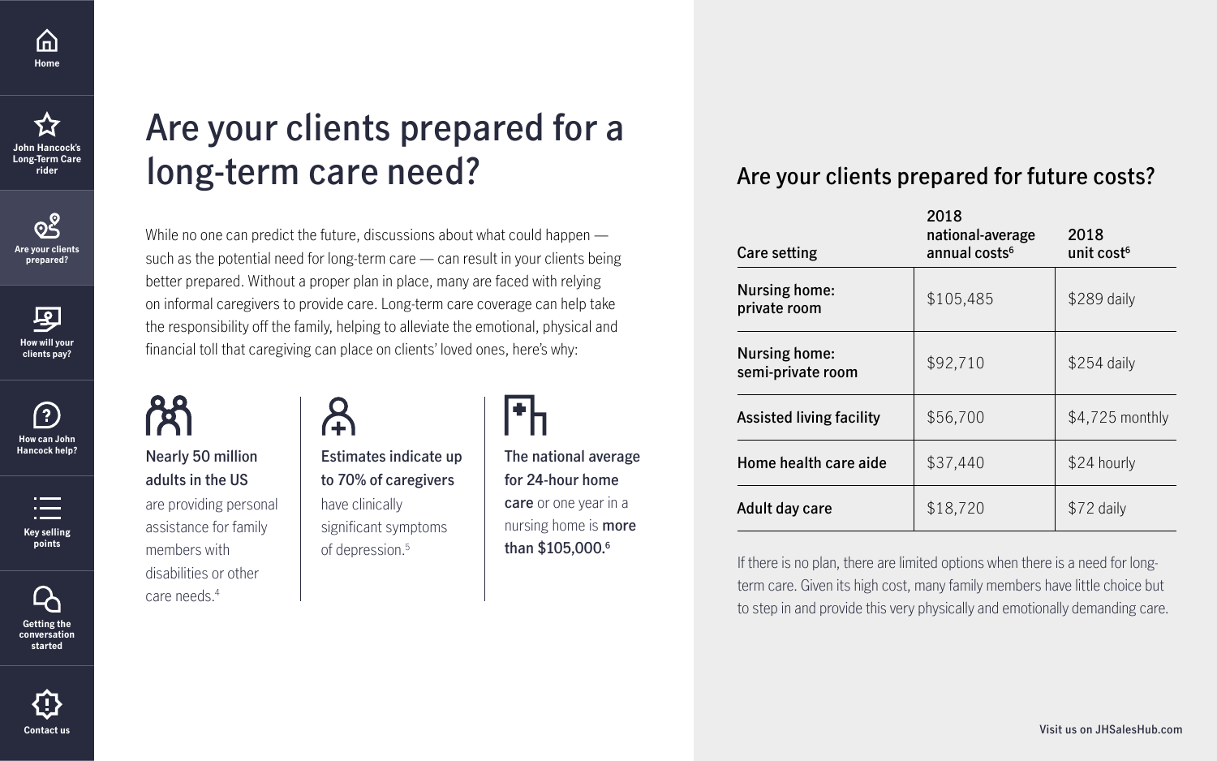### **Are your clients prepared for a long-term care need?**

While no one can predict the future, discussions about what could happen such as the potential need for long-term care — can result in your clients being better prepared. Without a proper plan in place, many are faced with relying on informal caregivers to provide care. Long-term care coverage can help take the responsibility off the family, helping to alleviate the emotional, physical and financial toll that caregiving can place on clients' loved ones, here's why:



**Nursing home: private room** 

**Nursing home:**  semi-private room

**Assisted living facily** 

**Home health care** 

Adult day care

**Care setting**

|       | 2018<br>national-average<br>annual costs <sup>6</sup> | 2018<br>unit cost <sup>6</sup> |
|-------|-------------------------------------------------------|--------------------------------|
|       | \$105,485                                             | \$289 daily                    |
|       | \$92,710                                              | $$254$ daily                   |
| ility | \$56,700                                              | $$4,725$ monthly               |
| aide  | \$37,440                                              | \$24 hourly                    |
|       | \$18,720                                              | $$72$ daily                    |

 $\bigcap$ **How can John [Hancock help?](#page-4-0)**

**Estimates indicate up to 70% of caregivers**  have clinically significant symptoms of depression.5

#### **Nearly 50 million adults in the US**

are providing personal assistance for family members with disabilities or other care needs.4



**The national average for 24-hour home care** or one year in a nursing home is **more than \$105,000.6**

If there is no plan, there are limited options when there is a need for longterm care. Given its high cost, many family members have little choice but to step in and provide this very physically and emotionally demanding care.

### **Are your clients prepared for future costs?**

<span id="page-2-0"></span>



| n — —              |
|--------------------|
|                    |
| <b>Key selling</b> |

**points**







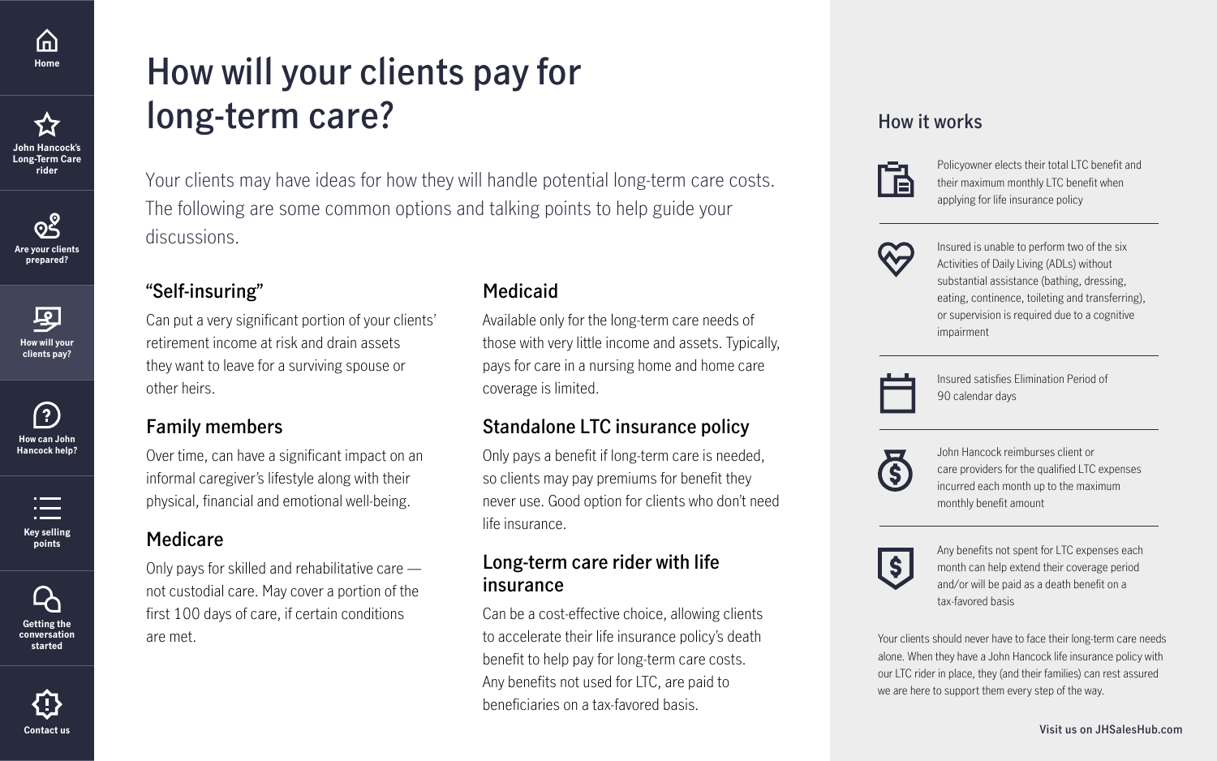## **How will your clients pay for long-term care?**

Your clients may have ideas for how they will handle potential long-term care costs. The following are some common options and talking points to help guide your discussions.

### **How it works**



Your clients should never have to face their long-term care needs alone. When they have a John Hancock life insurance policy with our LTC rider in place, they (and their families) can rest assured we are here to support them every step of the way.

### **"Self-insuring"**

Can put a very significant portion of your clients' retirement income at risk and drain assets they want to leave for a surviving spouse or other heirs.

### **Family members**

Over time, can have a significant impact on an informal caregiver's lifestyle along with their physical, financial and emotional well-being.

### **Medicare**

Only pays for skilled and rehabilitative care not custodial care. May cover a portion of the first 100 days of care, if certain conditions are met.

### **Medicaid**

Available only for the long-term care needs of those with very little income and assets. Typically, pays for care in a nursing home and home care coverage is limited.

### **Standalone LTC insurance policy**

Only pays a benefit if long-term care is needed, so clients may pay premiums for benefit they never use. Good option for clients who don't need life insurance.

### **Long-term care rider with life insurance**

Can be a cost-effective choice, allowing clients to accelerate their life insurance policy's death benefit to help pay for long-term care costs. Any benefits not used for LTC, are paid to beneficiaries on a tax-favored basis.

Policyowner elects their total LTC benefit and their maximum monthly LTC benefit when applying for life insurance policy



Insured is unable to perform two of the six Activities of Daily Living (ADLs) without substantial assistance (bathing, dressing, eating, continence, toileting and transferring), or supervision is required due to a cognitive impairment



Insured satisfies Elimination Period of 90 calendar days



John Hancock reimburses client or care providers for the qualified LTC expenses incurred each month up to the maximum monthly benefit amount



Any benefits not spent for LTC expenses each month can help extend their coverage period and/or will be paid as a death benefit on a tax-favored basis

<span id="page-3-0"></span>

**John Hancock's [Long-Term Care](#page-1-0)  rider**

> **[Key selling](#page-5-0)  points**





**How will your clients pay?**



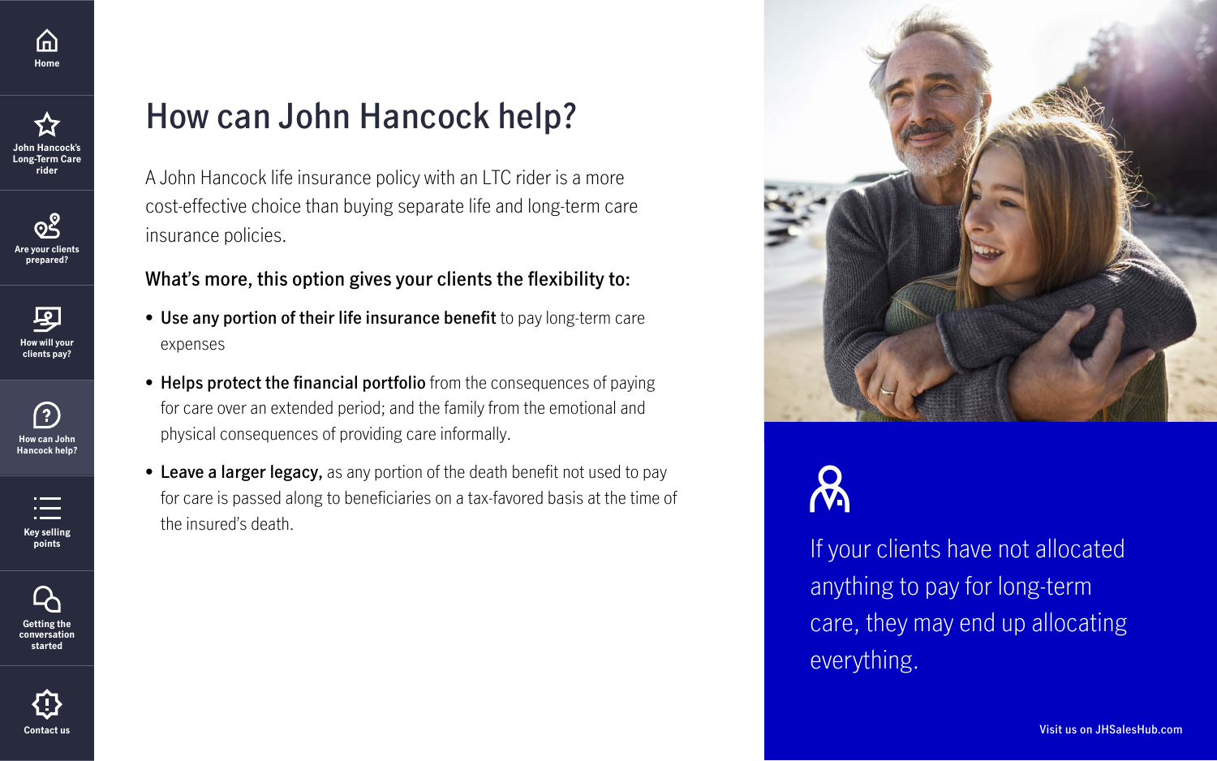### **How can John Hancock help?**

A John Hancock life insurance policy with an LTC rider is a more cost-effective choice than buying separate life and long-term care insurance policies.

### **What's more, this option gives your clients the flexibility to:**

- **Use any portion of their life insurance benefit** to pay long-term care expenses
- **Helps protect the financial portfolio** from the consequences of paying for care over an extended period; and the family from the emotional and physical consequences of providing care informally.
- **Leave a larger legacy,** as any portion of the death benefit not used to pay for care is passed along to beneficiaries on a tax-favored basis at the time of the insured's death.





If your clients have not allocated anything to pay for long-term care, they may end up allocating everything.

<span id="page-4-0"></span>







**[How will your](#page-3-0)  clients pay?**







**[Contact us](#page-7-0) [Visit us on JHSalesHub.com](http://JHSalesHub.com)**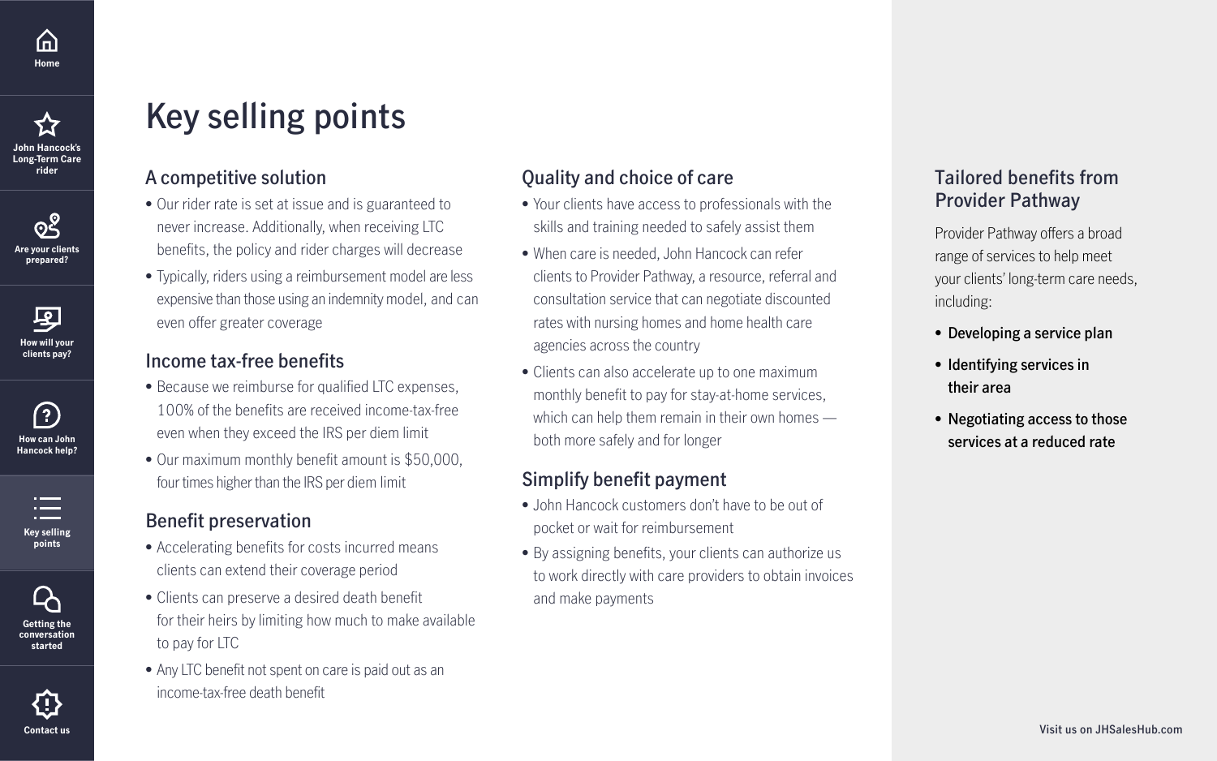## **Key selling points**

### **A competitive solution**

- Our rider rate is set at issue and is guaranteed to never increase. Additionally, when receiving LTC benefits, the policy and rider charges will decrease
- Typically, riders using a reimbursement model are less expensive than those using an indemnity model, and can even offer greater coverage

### **Income tax-free benefits**

- Because we reimburse for qualified LTC expenses, 100% of the benefits are received income-tax-free even when they exceed the IRS per diem limit
- Our maximum monthly benefit amount is \$50,000, four times higher than the IRS per diem limit

### **Benefit preservation**

- Accelerating benefits for costs incurred means clients can extend their coverage period
- Clients can preserve a desired death benefit for their heirs by limiting how much to make available to pay for LTC
- Any LTC benefit not spent on care is paid out as an income-tax-free death benefit

### **Quality and choice of care**

- Your clients have access to professionals with the skills and training needed to safely assist them
- When care is needed, John Hancock can refer clients to Provider Pathway, a resource, referral and consultation service that can negotiate discounted rates with nursing homes and home health care agencies across the country
- Clients can also accelerate up to one maximum monthly benefit to pay for stay-at-home services, which can help them remain in their own homes both more safely and for longer

### **Simplify benefit payment**

- John Hancock customers don't have to be out of pocket or wait for reimbursement
- By assigning benefits, your clients can authorize us to work directly with care providers to obtain invoices and make payments

### **Tailored benefits from Provider Pathway**

Provider Pathway offers a broad range of services to help meet your clients' long-term care needs, including:

- **Developing a service plan**
- **Identifying services in their area**
- **Negotiating access to those services at a reduced rate**

<span id="page-5-0"></span>









**[How will your](#page-3-0)  clients pay?**





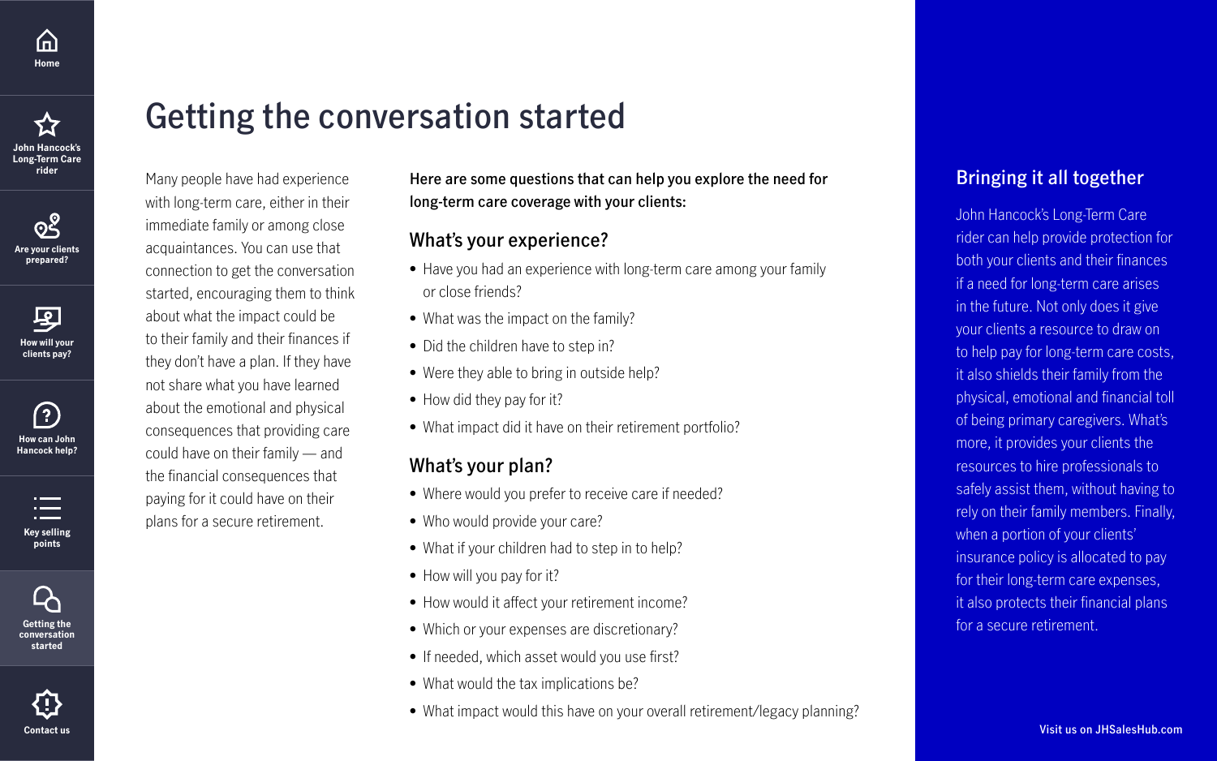### **Getting the conversation started**

**Here are some questions that can help you explore the need for long-term care coverage with your clients:**

### **What's your experience?**

- Have you had an experience with long-term care among your family or close friends?
- What was the impact on the family?
- Did the children have to step in?
- Were they able to bring in outside help?
- How did they pay for it?
- What impact did it have on their retirement portfolio?

- Where would you prefer to receive care if needed?
- Who would provide your care?
- What if your children had to step in to help?
- How will you pay for it?
- How would it affect your retirement income?
- Which or your expenses are discretionary?
- If needed, which asset would you use first?
- What would the tax implications be?
- What impact would this have on your overall retirement/legacy planning?

### **What's your plan?**

Many people have had experience with long-term care, either in their immediate family or among close acquaintances. You can use that connection to get the conversation started, encouraging them to think about what the impact could be to their family and their finances if they don't have a plan. If they have not share what you have learned about the emotional and physical consequences that providing care could have on their family — and the financial consequences that paying for it could have on their plans for a secure retirement.

 $\bigcap$ **How can John [Hancock help?](#page-4-0)**

#### **Bringing it all together**

John Hancock's Long-Term Care rider can help provide protection for both your clients and their finances if a need for long-term care arises in the future. Not only does it give your clients a resource to draw on to help pay for long-term care costs, it also shields their family from the physical, emotional and financial toll of being primary caregivers. What's more, it provides your clients the resources to hire professionals to safely assist them, without having to rely on their family members. Finally, when a portion of your clients' insurance policy is allocated to pay for their long-term care expenses, it also protects their financial plans for a secure retirement.

<span id="page-6-0"></span>